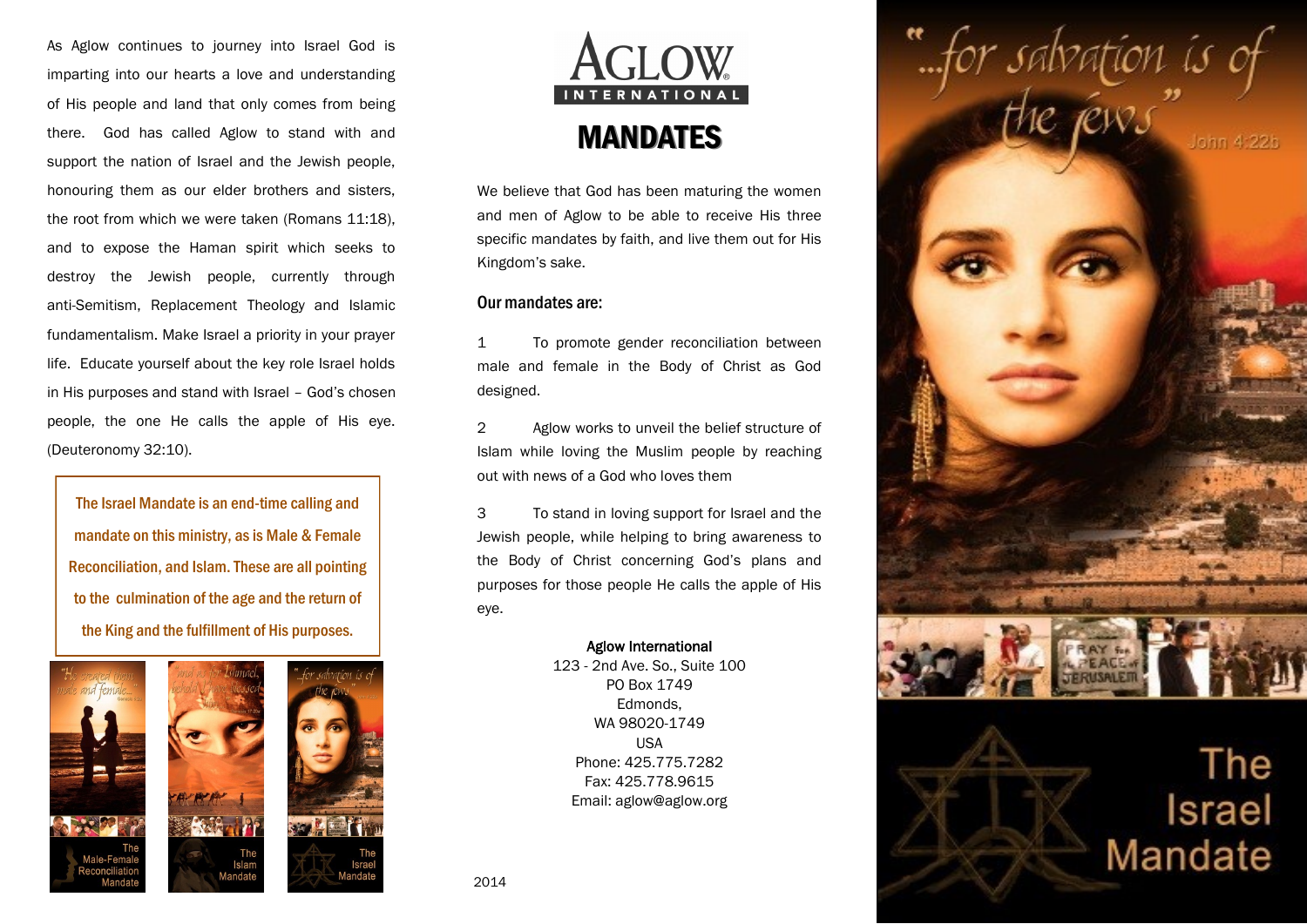As Aglow continues to journey into Israel God is imparting into our hearts a love and understanding of His people and land that only comes from being there. God has called Aglow to stand with and support the nation of Israel and the Jewish people, honouring them as our elder brothers and sisters, the root from which we were taken (Romans 11:18), and to expose the Haman spirit which seeks to destroy the Jewish people, currently through anti-Semitism, Replacement Theology and Islamic fundamentalism. Make Israel a priority in your prayer life. Educate yourself about the key role Israel holds in His purposes and stand with Israel – God's chosen people, the one He calls the apple of His eye. (Deuteronomy 32:10).

The Israel Mandate is an end-time calling and mandate on this ministry, as is Male & Female Reconciliation, and Islam. These are all pointing to the culmination of the age and the return of the King and the fulfillment of His purposes.







We believe that God has been maturing the women and men of Aglow to be able to receive His three specific mandates by faith, and live them out for His Kingdom's sake.

## Our mandates are:

1 To promote gender reconciliation between male and female in the Body of Christ as God designed.

2 Aglow works to unveil the belief structure of Islam while loving the Muslim people by reaching out with news of a God who loves them

3 To stand in loving support for Israel and the Jewish people, while helping to bring awareness to the Body of Christ concerning God's plans and purposes for those people He calls the apple of His eye.

## Aglow International

123 - 2nd Ave. So., Suite 100 PO Box 1749 Edmonds, WA 98020-1749 USA Phone: 425.775.7282 Fax: 425.778.9615 Email: aglow@aglow.org